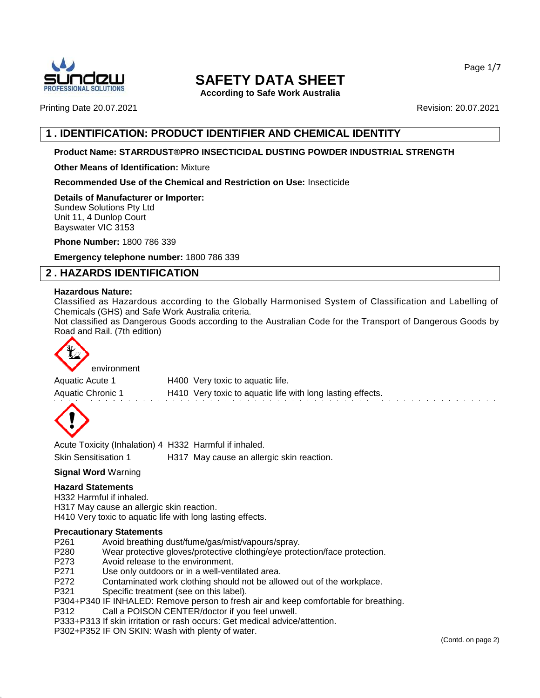

**According to Safe Work Australia**

Printing Date 20.07.2021 Revision: 20.07.2021

# **1 . IDENTIFICATION: PRODUCT IDENTIFIER AND CHEMICAL IDENTITY**

#### **Product Name: STARRDUST®PRO INSECTICIDAL DUSTING POWDER INDUSTRIAL STRENGTH**

#### **Other Means of Identification:** Mixture

**Recommended Use of the Chemical and Restriction on Use:** Insecticide

**Details of Manufacturer or Importer:** Sundew Solutions Pty Ltd Unit 11, 4 Dunlop Court Bayswater VIC 3153

**Phone Number:** 1800 786 339

**Emergency telephone number:** 1800 786 339

# **2 . HAZARDS IDENTIFICATION**

#### **Hazardous Nature:**

Classified as Hazardous according to the Globally Harmonised System of Classification and Labelling of Chemicals (GHS) and Safe Work Australia criteria.

Not classified as Dangerous Goods according to the Australian Code for the Transport of Dangerous Goods by Road and Rail. (7th edition)



environment

Aquatic Acute 1 H400 Very toxic to aquatic life. Aquatic Chronic 1 **H410** Very toxic to aquatic life with long lasting effects.



Acute Toxicity (Inhalation) 4 H332 Harmful if inhaled. Skin Sensitisation 1 H317 May cause an allergic skin reaction.

#### **Signal Word** Warning

#### **Hazard Statements**

H332 Harmful if inhaled. H317 May cause an allergic skin reaction. H410 Very toxic to aquatic life with long lasting effects.

#### **Precautionary Statements**

- P261 Avoid breathing dust/fume/gas/mist/vapours/spray.
- P280 Wear protective gloves/protective clothing/eye protection/face protection.<br>P273 Avoid release to the environment.
- P273 Avoid release to the environment.<br>P271 Use only outdoors or in a well-yen
- Use only outdoors or in a well-ventilated area.
- P272 Contaminated work clothing should not be allowed out of the workplace.
- P321 Specific treatment (see on this label).
- P304+P340 IF INHALED: Remove person to fresh air and keep comfortable for breathing.
- P312 Call a POISON CENTER/doctor if you feel unwell.
- P333+P313 If skin irritation or rash occurs: Get medical advice/attention.
- P302+P352 IF ON SKIN: Wash with plenty of water.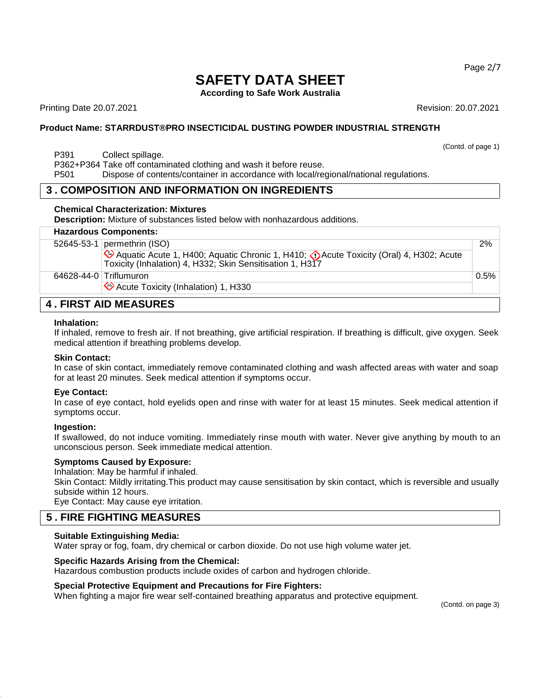**According to Safe Work Australia**

Printing Date 20.07.2021 Revision: 20.07.2021

(Contd. of page 1)

#### **Product Name: STARRDUST®PRO INSECTICIDAL DUSTING POWDER INDUSTRIAL STRENGTH**

P391 Collect spillage.

P362+P364 Take off contaminated clothing and wash it before reuse.

P501 Dispose of contents/container in accordance with local/regional/national regulations.

## **3 . COMPOSITION AND INFORMATION ON INGREDIENTS**

#### **Chemical Characterization: Mixtures**

**Description:** Mixture of substances listed below with nonhazardous additions.

## **Hazardous Components:**

| 2%                           |  |  |  |  |
|------------------------------|--|--|--|--|
|                              |  |  |  |  |
| 0.5%                         |  |  |  |  |
|                              |  |  |  |  |
| <b>4. FIRST AID MEASURES</b> |  |  |  |  |
|                              |  |  |  |  |

#### **Inhalation:**

If inhaled, remove to fresh air. If not breathing, give artificial respiration. If breathing is difficult, give oxygen. Seek medical attention if breathing problems develop.

#### **Skin Contact:**

In case of skin contact, immediately remove contaminated clothing and wash affected areas with water and soap for at least 20 minutes. Seek medical attention if symptoms occur.

#### **Eye Contact:**

In case of eye contact, hold eyelids open and rinse with water for at least 15 minutes. Seek medical attention if symptoms occur.

#### **Ingestion:**

If swallowed, do not induce vomiting. Immediately rinse mouth with water. Never give anything by mouth to an unconscious person. Seek immediate medical attention.

#### **Symptoms Caused by Exposure:**

Inhalation: May be harmful if inhaled.

Skin Contact: Mildly irritating.This product may cause sensitisation by skin contact, which is reversible and usually subside within 12 hours.

Eye Contact: May cause eye irritation.

# **5 . FIRE FIGHTING MEASURES**

#### **Suitable Extinguishing Media:**

Water spray or fog, foam, dry chemical or carbon dioxide. Do not use high volume water jet.

#### **Specific Hazards Arising from the Chemical:**

Hazardous combustion products include oxides of carbon and hydrogen chloride.

#### **Special Protective Equipment and Precautions for Fire Fighters:**

When fighting a major fire wear self-contained breathing apparatus and protective equipment.

(Contd. on page 3)

Page 2/7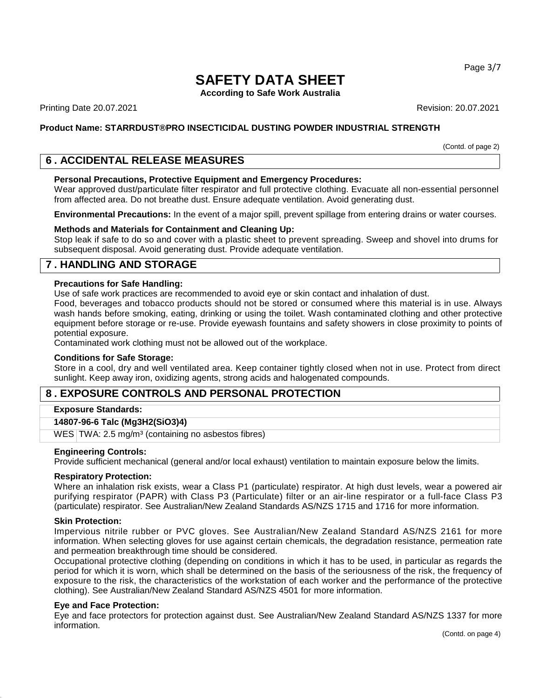**According to Safe Work Australia**

Printing Date 20.07.2021 Revision: 20.07.2021

#### **Product Name: STARRDUST®PRO INSECTICIDAL DUSTING POWDER INDUSTRIAL STRENGTH**

(Contd. of page 2)

# **6 . ACCIDENTAL RELEASE MEASURES**

#### **Personal Precautions, Protective Equipment and Emergency Procedures:**

Wear approved dust/particulate filter respirator and full protective clothing. Evacuate all non-essential personnel from affected area. Do not breathe dust. Ensure adequate ventilation. Avoid generating dust.

**Environmental Precautions:** In the event of a major spill, prevent spillage from entering drains or water courses.

#### **Methods and Materials for Containment and Cleaning Up:**

Stop leak if safe to do so and cover with a plastic sheet to prevent spreading. Sweep and shovel into drums for subsequent disposal. Avoid generating dust. Provide adequate ventilation.

# **7 . HANDLING AND STORAGE**

#### **Precautions for Safe Handling:**

Use of safe work practices are recommended to avoid eye or skin contact and inhalation of dust.

Food, beverages and tobacco products should not be stored or consumed where this material is in use. Always wash hands before smoking, eating, drinking or using the toilet. Wash contaminated clothing and other protective equipment before storage or re-use. Provide eyewash fountains and safety showers in close proximity to points of potential exposure.

Contaminated work clothing must not be allowed out of the workplace.

#### **Conditions for Safe Storage:**

Store in a cool, dry and well ventilated area. Keep container tightly closed when not in use. Protect from direct sunlight. Keep away iron, oxidizing agents, strong acids and halogenated compounds.

# **8 . EXPOSURE CONTROLS AND PERSONAL PROTECTION**

#### **Exposure Standards:**

#### **14807-96-6 Talc (Mg3H2(SiO3)4)**

WES TWA: 2.5 mg/m<sup>3</sup> (containing no asbestos fibres)

#### **Engineering Controls:**

Provide sufficient mechanical (general and/or local exhaust) ventilation to maintain exposure below the limits.

#### **Respiratory Protection:**

Where an inhalation risk exists, wear a Class P1 (particulate) respirator. At high dust levels, wear a powered air purifying respirator (PAPR) with Class P3 (Particulate) filter or an air-line respirator or a full-face Class P3 (particulate) respirator. See Australian/New Zealand Standards AS/NZS 1715 and 1716 for more information.

#### **Skin Protection:**

Impervious nitrile rubber or PVC gloves. See Australian/New Zealand Standard AS/NZS 2161 for more information. When selecting gloves for use against certain chemicals, the degradation resistance, permeation rate and permeation breakthrough time should be considered.

Occupational protective clothing (depending on conditions in which it has to be used, in particular as regards the period for which it is worn, which shall be determined on the basis of the seriousness of the risk, the frequency of exposure to the risk, the characteristics of the workstation of each worker and the performance of the protective clothing). See Australian/New Zealand Standard AS/NZS 4501 for more information.

#### **Eye and Face Protection:**

Eye and face protectors for protection against dust. See Australian/New Zealand Standard AS/NZS 1337 for more information.

Page 3/7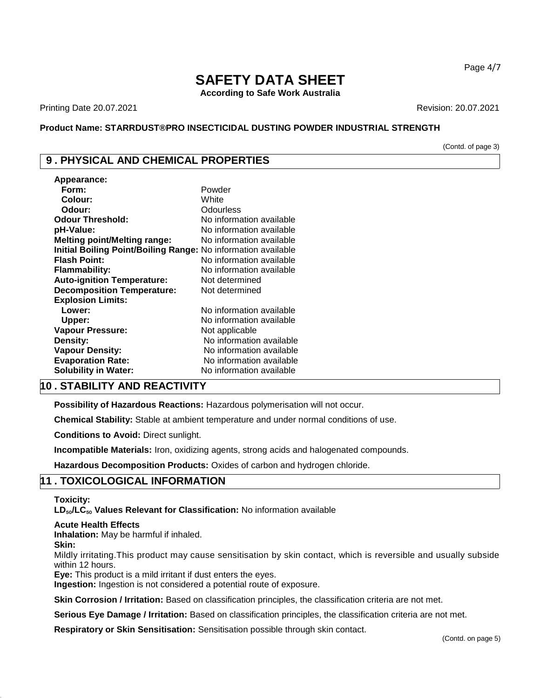**According to Safe Work Australia**

Printing Date 20.07.2021 Revision: 20.07.2021

#### **Product Name: STARRDUST®PRO INSECTICIDAL DUSTING POWDER INDUSTRIAL STRENGTH**

(Contd. of page 3)

# **9 . PHYSICAL AND CHEMICAL PROPERTIES**

| Appearance:                                                   |                          |
|---------------------------------------------------------------|--------------------------|
| Form:                                                         | Powder                   |
| Colour:                                                       | White                    |
| Odour:                                                        | Odourless                |
| <b>Odour Threshold:</b>                                       | No information available |
| pH-Value:                                                     | No information available |
| <b>Melting point/Melting range:</b>                           | No information available |
| Initial Boiling Point/Boiling Range: No information available |                          |
| <b>Flash Point:</b>                                           | No information available |
| Flammability:                                                 | No information available |
| <b>Auto-ignition Temperature:</b>                             | Not determined           |
| <b>Decomposition Temperature:</b>                             | Not determined           |
| <b>Explosion Limits:</b>                                      |                          |
| Lower:                                                        | No information available |
| Upper:                                                        | No information available |
| <b>Vapour Pressure:</b>                                       | Not applicable           |
| Density:                                                      | No information available |
| <b>Vapour Density:</b>                                        | No information available |
| <b>Evaporation Rate:</b>                                      | No information available |
| <b>Solubility in Water:</b>                                   | No information available |

## **10 . STABILITY AND REACTIVITY**

**Possibility of Hazardous Reactions:** Hazardous polymerisation will not occur.

**Chemical Stability:** Stable at ambient temperature and under normal conditions of use.

**Conditions to Avoid:** Direct sunlight.

**Incompatible Materials:** Iron, oxidizing agents, strong acids and halogenated compounds.

**Hazardous Decomposition Products:** Oxides of carbon and hydrogen chloride.

# **11 . TOXICOLOGICAL INFORMATION**

#### **Toxicity:**

**LD**₅₀**/LC**₅₀ **Values Relevant for Classification:** No information available

#### **Acute Health Effects**

**Inhalation:** May be harmful if inhaled.

#### **Skin:**

Mildly irritating.This product may cause sensitisation by skin contact, which is reversible and usually subside within 12 hours.

**Eye:** This product is a mild irritant if dust enters the eyes.

**Ingestion:** Ingestion is not considered a potential route of exposure.

**Skin Corrosion / Irritation:** Based on classification principles, the classification criteria are not met.

**Serious Eye Damage / Irritation:** Based on classification principles, the classification criteria are not met.

**Respiratory or Skin Sensitisation:** Sensitisation possible through skin contact.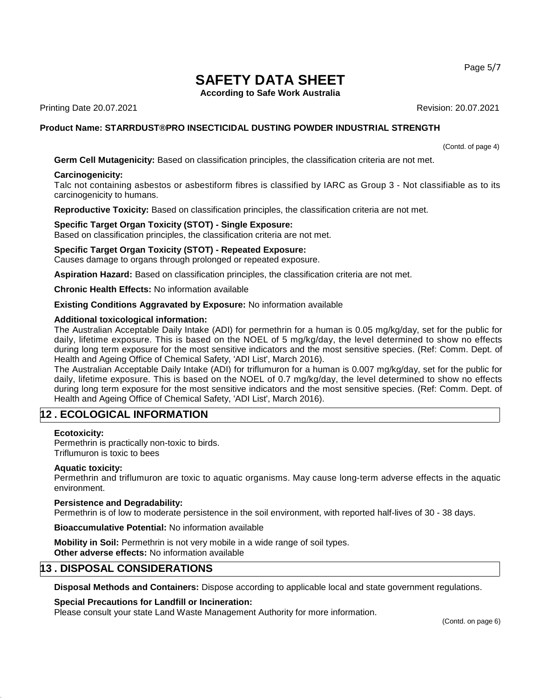Page 5/7

# **SAFETY DATA SHEET**

**According to Safe Work Australia**

Printing Date 20.07.2021 Revision: 20.07.2021

## **Product Name: STARRDUST®PRO INSECTICIDAL DUSTING POWDER INDUSTRIAL STRENGTH**

(Contd. of page 4)

**Germ Cell Mutagenicity:** Based on classification principles, the classification criteria are not met.

#### **Carcinogenicity:**

Talc not containing asbestos or asbestiform fibres is classified by IARC as Group 3 - Not classifiable as to its carcinogenicity to humans.

**Reproductive Toxicity:** Based on classification principles, the classification criteria are not met.

#### **Specific Target Organ Toxicity (STOT) - Single Exposure:**

Based on classification principles, the classification criteria are not met.

#### **Specific Target Organ Toxicity (STOT) - Repeated Exposure:**

Causes damage to organs through prolonged or repeated exposure.

**Aspiration Hazard:** Based on classification principles, the classification criteria are not met.

**Chronic Health Effects:** No information available

#### **Existing Conditions Aggravated by Exposure:** No information available

#### **Additional toxicological information:**

The Australian Acceptable Daily Intake (ADI) for permethrin for a human is 0.05 mg/kg/day, set for the public for daily, lifetime exposure. This is based on the NOEL of 5 mg/kg/day, the level determined to show no effects during long term exposure for the most sensitive indicators and the most sensitive species. (Ref: Comm. Dept. of Health and Ageing Office of Chemical Safety, 'ADI List', March 2016).

The Australian Acceptable Daily Intake (ADI) for triflumuron for a human is 0.007 mg/kg/day, set for the public for daily, lifetime exposure. This is based on the NOEL of 0.7 mg/kg/day, the level determined to show no effects during long term exposure for the most sensitive indicators and the most sensitive species. (Ref: Comm. Dept. of Health and Ageing Office of Chemical Safety, 'ADI List', March 2016).

# **12 . ECOLOGICAL INFORMATION**

#### **Ecotoxicity:**

Permethrin is practically non-toxic to birds. Triflumuron is toxic to bees

#### **Aquatic toxicity:**

Permethrin and triflumuron are toxic to aquatic organisms. May cause long-term adverse effects in the aquatic environment.

#### **Persistence and Degradability:**

Permethrin is of low to moderate persistence in the soil environment, with reported half-lives of 30 - 38 days.

#### **Bioaccumulative Potential:** No information available

**Mobility in Soil:** Permethrin is not very mobile in a wide range of soil types. **Other adverse effects:** No information available

# **13 . DISPOSAL CONSIDERATIONS**

**Disposal Methods and Containers:** Dispose according to applicable local and state government regulations.

#### **Special Precautions for Landfill or Incineration:**

Please consult your state Land Waste Management Authority for more information.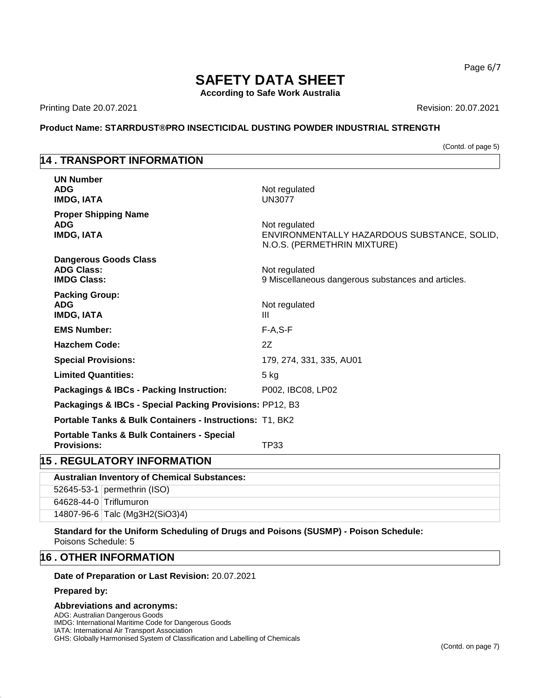**According to Safe Work Australia**

Printing Date 20.07.2021 **Revision: 20.07.2021** 

#### **Product Name: STARRDUST®PRO INSECTICIDAL DUSTING POWDER INDUSTRIAL STRENGTH**

(Contd. of page 5)

Page 6/7

# **14 . TRANSPORT INFORMATION**

| <b>UN Number</b><br><b>ADG</b><br><b>IMDG, IATA</b>                         | Not regulated<br><b>UN3077</b>                                                              |
|-----------------------------------------------------------------------------|---------------------------------------------------------------------------------------------|
| <b>Proper Shipping Name</b><br><b>ADG</b><br><b>IMDG, IATA</b>              | Not regulated<br>ENVIRONMENTALLY HAZARDOUS SUBSTANCE, SOLID,<br>N.O.S. (PERMETHRIN MIXTURE) |
| <b>Dangerous Goods Class</b><br><b>ADG Class:</b><br><b>IMDG Class:</b>     | Not regulated<br>9 Miscellaneous dangerous substances and articles.                         |
| <b>Packing Group:</b><br><b>ADG</b><br><b>IMDG, IATA</b>                    | Not regulated<br>III                                                                        |
| <b>EMS Number:</b>                                                          | $F-A, S-F$                                                                                  |
| <b>Hazchem Code:</b>                                                        | 2Z                                                                                          |
| <b>Special Provisions:</b>                                                  | 179, 274, 331, 335, AU01                                                                    |
| <b>Limited Quantities:</b>                                                  | $5$ kg                                                                                      |
| Packagings & IBCs - Packing Instruction:                                    | P002, IBC08, LP02                                                                           |
| Packagings & IBCs - Special Packing Provisions: PP12, B3                    |                                                                                             |
| <b>Portable Tanks &amp; Bulk Containers - Instructions: T1, BK2</b>         |                                                                                             |
| <b>Portable Tanks &amp; Bulk Containers - Special</b><br><b>Provisions:</b> | TP33                                                                                        |
| <b>15 . REGULATORY INFORMATION</b>                                          |                                                                                             |

|                        | <b>Australian Inventory of Chemical Substances:</b> |
|------------------------|-----------------------------------------------------|
|                        | 52645-53-1 permethrin (ISO)                         |
| 64628-44-0 Triflumuron |                                                     |
|                        | 14807-96-6 Talc (Mg3H2(SiO3)4)                      |
|                        |                                                     |

**Standard for the Uniform Scheduling of Drugs and Poisons (SUSMP) - Poison Schedule:** Poisons Schedule: 5

# **16 . OTHER INFORMATION**

**Date of Preparation or Last Revision:** 20.07.2021

## **Prepared by:**

## **Abbreviations and acronyms:**

ADG: Australian Dangerous Goods IMDG: International Maritime Code for Dangerous Goods

IATA: International Air Transport Association

GHS: Globally Harmonised System of Classification and Labelling of Chemicals